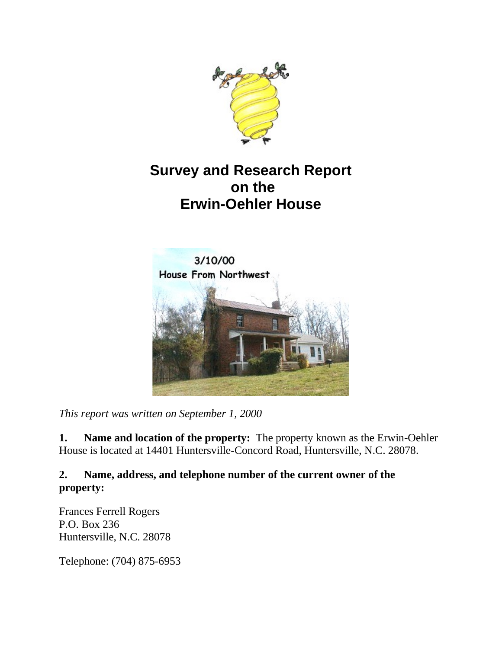

# **Survey and Research Report on the Erwin-Oehler House**



*This report was written on September 1, 2000*

**1. Name and location of the property:** The property known as the Erwin-Oehler House is located at 14401 Huntersville-Concord Road, Huntersville, N.C. 28078.

### **2. Name, address, and telephone number of the current owner of the property:**

Frances Ferrell Rogers P.O. Box 236 Huntersville, N.C. 28078

Telephone: (704) 875-6953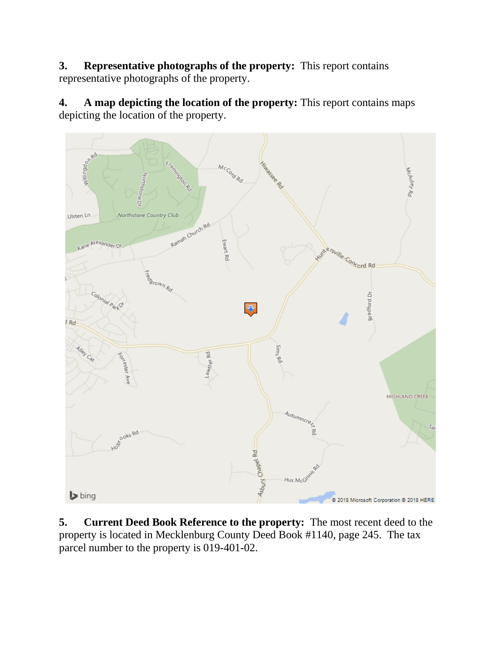**3. Representative photographs of the property:** This report contains representative photographs of the property.

**4. A map depicting the location of the property:** This report contains maps depicting the location of the property.



**5. Current Deed Book Reference to the property:** The most recent deed to the property is located in Mecklenburg County Deed Book #1140, page 245. The tax parcel number to the property is 019-401-02.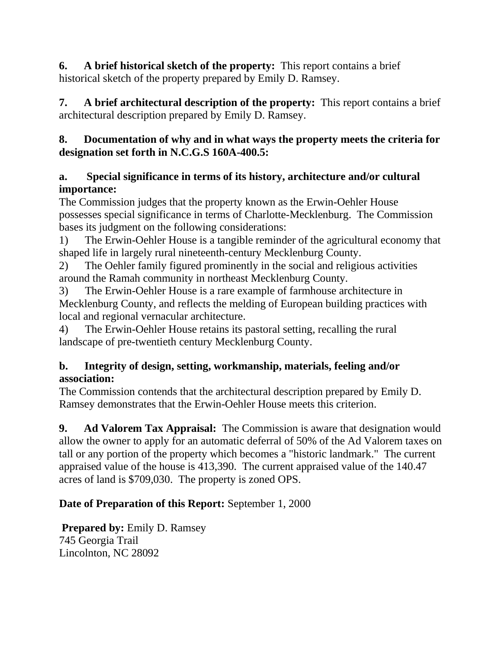**6. A brief historical sketch of the property:** This report contains a brief historical sketch of the property prepared by Emily D. Ramsey.

**7. A brief architectural description of the property:** This report contains a brief architectural description prepared by Emily D. Ramsey.

## **8. Documentation of why and in what ways the property meets the criteria for designation set forth in N.C.G.S 160A-400.5:**

## **a. Special significance in terms of its history, architecture and/or cultural importance:**

The Commission judges that the property known as the Erwin-Oehler House possesses special significance in terms of Charlotte-Mecklenburg. The Commission bases its judgment on the following considerations:

1) The Erwin-Oehler House is a tangible reminder of the agricultural economy that shaped life in largely rural nineteenth-century Mecklenburg County.

2) The Oehler family figured prominently in the social and religious activities around the Ramah community in northeast Mecklenburg County.

3) The Erwin-Oehler House is a rare example of farmhouse architecture in Mecklenburg County, and reflects the melding of European building practices with local and regional vernacular architecture.

4) The Erwin-Oehler House retains its pastoral setting, recalling the rural landscape of pre-twentieth century Mecklenburg County.

### **b. Integrity of design, setting, workmanship, materials, feeling and/or association:**

The Commission contends that the architectural description prepared by Emily D. Ramsey demonstrates that the Erwin-Oehler House meets this criterion.

**9. Ad Valorem Tax Appraisal:** The Commission is aware that designation would allow the owner to apply for an automatic deferral of 50% of the Ad Valorem taxes on tall or any portion of the property which becomes a "historic landmark." The current appraised value of the house is 413,390. The current appraised value of the 140.47 acres of land is \$709,030. The property is zoned OPS.

# **Date of Preparation of this Report:** September 1, 2000

**Prepared by:** Emily D. Ramsey 745 Georgia Trail Lincolnton, NC 28092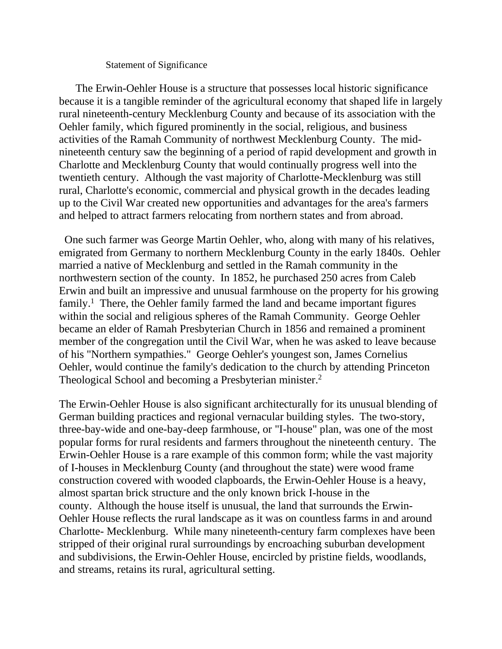#### Statement of Significance

 The Erwin-Oehler House is a structure that possesses local historic significance because it is a tangible reminder of the agricultural economy that shaped life in largely rural nineteenth-century Mecklenburg County and because of its association with the Oehler family, which figured prominently in the social, religious, and business activities of the Ramah Community of northwest Mecklenburg County. The midnineteenth century saw the beginning of a period of rapid development and growth in Charlotte and Mecklenburg County that would continually progress well into the twentieth century. Although the vast majority of Charlotte-Mecklenburg was still rural, Charlotte's economic, commercial and physical growth in the decades leading up to the Civil War created new opportunities and advantages for the area's farmers and helped to attract farmers relocating from northern states and from abroad.

 One such farmer was George Martin Oehler, who, along with many of his relatives, emigrated from Germany to northern Mecklenburg County in the early 1840s. Oehler married a native of Mecklenburg and settled in the Ramah community in the northwestern section of the county. In 1852, he purchased 250 acres from Caleb Erwin and built an impressive and unusual farmhouse on the property for his growing  $family.<sup>1</sup>$  There, the Oehler family farmed the land and became important figures within the social and religious spheres of the Ramah Community. George Oehler became an elder of Ramah Presbyterian Church in 1856 and remained a prominent member of the congregation until the Civil War, when he was asked to leave because of his "Northern sympathies." George Oehler's youngest son, James Cornelius Oehler, would continue the family's dedication to the church by attending Princeton Theological School and becoming a Presbyterian minister.2

The Erwin-Oehler House is also significant architecturally for its unusual blending of German building practices and regional vernacular building styles. The two-story, three-bay-wide and one-bay-deep farmhouse, or "I-house" plan, was one of the most popular forms for rural residents and farmers throughout the nineteenth century. The Erwin-Oehler House is a rare example of this common form; while the vast majority of I-houses in Mecklenburg County (and throughout the state) were wood frame construction covered with wooded clapboards, the Erwin-Oehler House is a heavy, almost spartan brick structure and the only known brick I-house in the county. Although the house itself is unusual, the land that surrounds the Erwin-Oehler House reflects the rural landscape as it was on countless farms in and around Charlotte- Mecklenburg. While many nineteenth-century farm complexes have been stripped of their original rural surroundings by encroaching suburban development and subdivisions, the Erwin-Oehler House, encircled by pristine fields, woodlands, and streams, retains its rural, agricultural setting.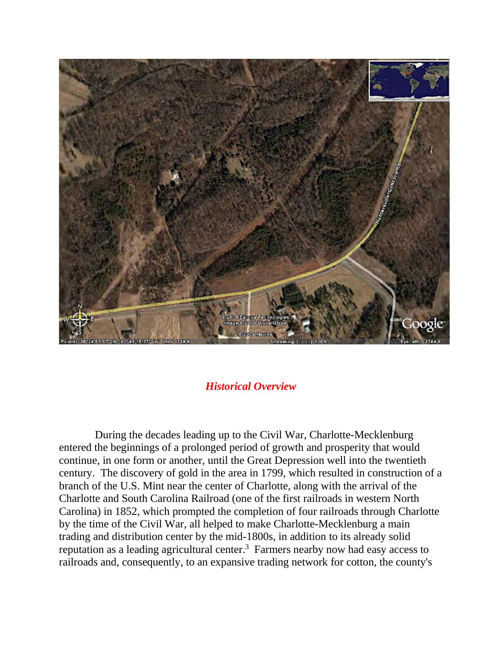

#### *Historical Overview*

 During the decades leading up to the Civil War, Charlotte-Mecklenburg entered the beginnings of a prolonged period of growth and prosperity that would continue, in one form or another, until the Great Depression well into the twentieth century. The discovery of gold in the area in 1799, which resulted in construction of a branch of the U.S. Mint near the center of Charlotte, along with the arrival of the Charlotte and South Carolina Railroad (one of the first railroads in western North Carolina) in 1852, which prompted the completion of four railroads through Charlotte by the time of the Civil War, all helped to make Charlotte-Mecklenburg a main trading and distribution center by the mid-1800s, in addition to its already solid reputation as a leading agricultural center.3 Farmers nearby now had easy access to railroads and, consequently, to an expansive trading network for cotton, the county's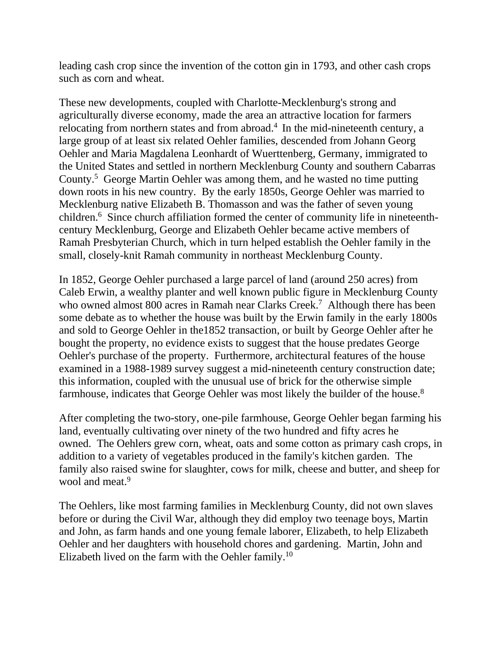leading cash crop since the invention of the cotton gin in 1793, and other cash crops such as corn and wheat.

These new developments, coupled with Charlotte-Mecklenburg's strong and agriculturally diverse economy, made the area an attractive location for farmers relocating from northern states and from abroad.4 In the mid-nineteenth century, a large group of at least six related Oehler families, descended from Johann Georg Oehler and Maria Magdalena Leonhardt of Wuerttenberg, Germany, immigrated to the United States and settled in northern Mecklenburg County and southern Cabarras County.5 George Martin Oehler was among them, and he wasted no time putting down roots in his new country. By the early 1850s, George Oehler was married to Mecklenburg native Elizabeth B. Thomasson and was the father of seven young children.6 Since church affiliation formed the center of community life in nineteenthcentury Mecklenburg, George and Elizabeth Oehler became active members of Ramah Presbyterian Church, which in turn helped establish the Oehler family in the small, closely-knit Ramah community in northeast Mecklenburg County.

In 1852, George Oehler purchased a large parcel of land (around 250 acres) from Caleb Erwin, a wealthy planter and well known public figure in Mecklenburg County who owned almost 800 acres in Ramah near Clarks Creek.<sup>7</sup> Although there has been some debate as to whether the house was built by the Erwin family in the early 1800s and sold to George Oehler in the1852 transaction, or built by George Oehler after he bought the property, no evidence exists to suggest that the house predates George Oehler's purchase of the property. Furthermore, architectural features of the house examined in a 1988-1989 survey suggest a mid-nineteenth century construction date; this information, coupled with the unusual use of brick for the otherwise simple farmhouse, indicates that George Oehler was most likely the builder of the house.<sup>8</sup>

After completing the two-story, one-pile farmhouse, George Oehler began farming his land, eventually cultivating over ninety of the two hundred and fifty acres he owned. The Oehlers grew corn, wheat, oats and some cotton as primary cash crops, in addition to a variety of vegetables produced in the family's kitchen garden. The family also raised swine for slaughter, cows for milk, cheese and butter, and sheep for wool and meat.<sup>9</sup>

The Oehlers, like most farming families in Mecklenburg County, did not own slaves before or during the Civil War, although they did employ two teenage boys, Martin and John, as farm hands and one young female laborer, Elizabeth, to help Elizabeth Oehler and her daughters with household chores and gardening. Martin, John and Elizabeth lived on the farm with the Oehler family.10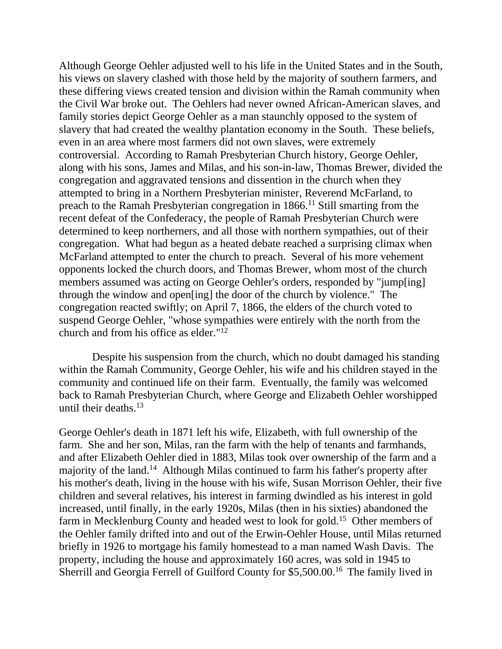Although George Oehler adjusted well to his life in the United States and in the South, his views on slavery clashed with those held by the majority of southern farmers, and these differing views created tension and division within the Ramah community when the Civil War broke out. The Oehlers had never owned African-American slaves, and family stories depict George Oehler as a man staunchly opposed to the system of slavery that had created the wealthy plantation economy in the South. These beliefs, even in an area where most farmers did not own slaves, were extremely controversial. According to Ramah Presbyterian Church history, George Oehler, along with his sons, James and Milas, and his son-in-law, Thomas Brewer, divided the congregation and aggravated tensions and dissention in the church when they attempted to bring in a Northern Presbyterian minister, Reverend McFarland, to preach to the Ramah Presbyterian congregation in 1866.11 Still smarting from the recent defeat of the Confederacy, the people of Ramah Presbyterian Church were determined to keep northerners, and all those with northern sympathies, out of their congregation. What had begun as a heated debate reached a surprising climax when McFarland attempted to enter the church to preach. Several of his more vehement opponents locked the church doors, and Thomas Brewer, whom most of the church members assumed was acting on George Oehler's orders, responded by "jump[ing] through the window and open[ing] the door of the church by violence." The congregation reacted swiftly; on April 7, 1866, the elders of the church voted to suspend George Oehler, "whose sympathies were entirely with the north from the church and from his office as elder."12

 Despite his suspension from the church, which no doubt damaged his standing within the Ramah Community, George Oehler, his wife and his children stayed in the community and continued life on their farm. Eventually, the family was welcomed back to Ramah Presbyterian Church, where George and Elizabeth Oehler worshipped until their deaths. $^{13}$ 

George Oehler's death in 1871 left his wife, Elizabeth, with full ownership of the farm. She and her son, Milas, ran the farm with the help of tenants and farmhands, and after Elizabeth Oehler died in 1883, Milas took over ownership of the farm and a majority of the land.14 Although Milas continued to farm his father's property after his mother's death, living in the house with his wife, Susan Morrison Oehler, their five children and several relatives, his interest in farming dwindled as his interest in gold increased, until finally, in the early 1920s, Milas (then in his sixties) abandoned the farm in Mecklenburg County and headed west to look for gold.15 Other members of the Oehler family drifted into and out of the Erwin-Oehler House, until Milas returned briefly in 1926 to mortgage his family homestead to a man named Wash Davis. The property, including the house and approximately 160 acres, was sold in 1945 to Sherrill and Georgia Ferrell of Guilford County for \$5,500.00.16 The family lived in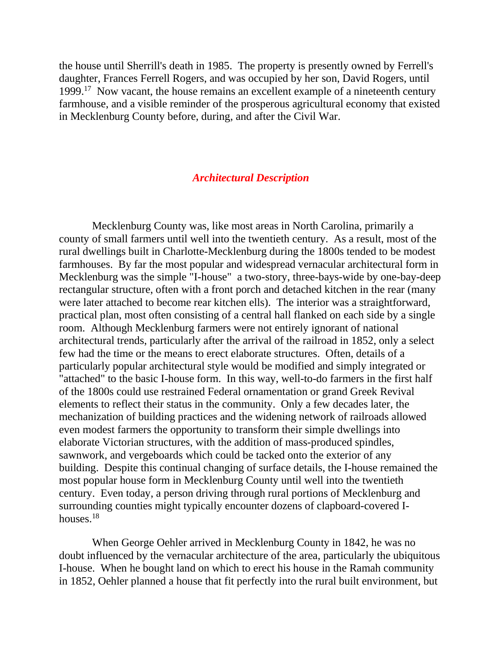the house until Sherrill's death in 1985. The property is presently owned by Ferrell's daughter, Frances Ferrell Rogers, and was occupied by her son, David Rogers, until 1999.17 Now vacant, the house remains an excellent example of a nineteenth century farmhouse, and a visible reminder of the prosperous agricultural economy that existed in Mecklenburg County before, during, and after the Civil War.

#### *Architectural Description*

 Mecklenburg County was, like most areas in North Carolina, primarily a county of small farmers until well into the twentieth century. As a result, most of the rural dwellings built in Charlotte-Mecklenburg during the 1800s tended to be modest farmhouses. By far the most popular and widespread vernacular architectural form in Mecklenburg was the simple "I-house" a two-story, three-bays-wide by one-bay-deep rectangular structure, often with a front porch and detached kitchen in the rear (many were later attached to become rear kitchen ells). The interior was a straightforward, practical plan, most often consisting of a central hall flanked on each side by a single room. Although Mecklenburg farmers were not entirely ignorant of national architectural trends, particularly after the arrival of the railroad in 1852, only a select few had the time or the means to erect elaborate structures. Often, details of a particularly popular architectural style would be modified and simply integrated or "attached" to the basic I-house form. In this way, well-to-do farmers in the first half of the 1800s could use restrained Federal ornamentation or grand Greek Revival elements to reflect their status in the community. Only a few decades later, the mechanization of building practices and the widening network of railroads allowed even modest farmers the opportunity to transform their simple dwellings into elaborate Victorian structures, with the addition of mass-produced spindles, sawnwork, and vergeboards which could be tacked onto the exterior of any building. Despite this continual changing of surface details, the I-house remained the most popular house form in Mecklenburg County until well into the twentieth century. Even today, a person driving through rural portions of Mecklenburg and surrounding counties might typically encounter dozens of clapboard-covered Ihouses.<sup>18</sup>

 When George Oehler arrived in Mecklenburg County in 1842, he was no doubt influenced by the vernacular architecture of the area, particularly the ubiquitous I-house. When he bought land on which to erect his house in the Ramah community in 1852, Oehler planned a house that fit perfectly into the rural built environment, but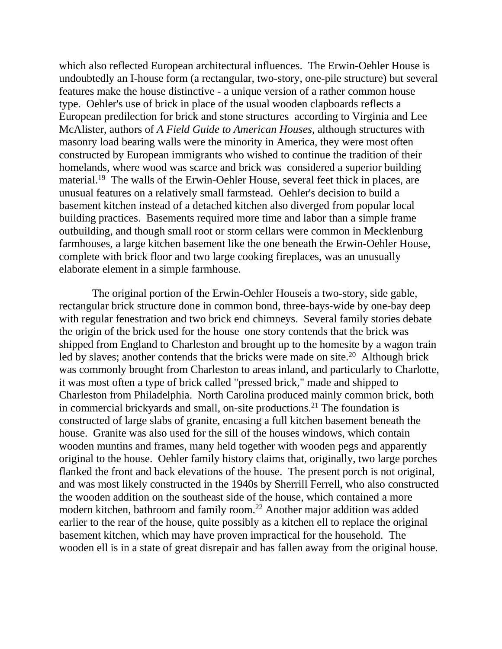which also reflected European architectural influences. The Erwin-Oehler House is undoubtedly an I-house form (a rectangular, two-story, one-pile structure) but several features make the house distinctive - a unique version of a rather common house type. Oehler's use of brick in place of the usual wooden clapboards reflects a European predilection for brick and stone structures according to Virginia and Lee McAlister, authors of *A Field Guide to American Houses*, although structures with masonry load bearing walls were the minority in America, they were most often constructed by European immigrants who wished to continue the tradition of their homelands, where wood was scarce and brick was considered a superior building material.19 The walls of the Erwin-Oehler House, several feet thick in places, are unusual features on a relatively small farmstead. Oehler's decision to build a basement kitchen instead of a detached kitchen also diverged from popular local building practices. Basements required more time and labor than a simple frame outbuilding, and though small root or storm cellars were common in Mecklenburg farmhouses, a large kitchen basement like the one beneath the Erwin-Oehler House, complete with brick floor and two large cooking fireplaces, was an unusually elaborate element in a simple farmhouse.

 The original portion of the Erwin-Oehler Houseis a two-story, side gable, rectangular brick structure done in common bond, three-bays-wide by one-bay deep with regular fenestration and two brick end chimneys. Several family stories debate the origin of the brick used for the house one story contends that the brick was shipped from England to Charleston and brought up to the homesite by a wagon train led by slaves; another contends that the bricks were made on site.<sup>20</sup> Although brick was commonly brought from Charleston to areas inland, and particularly to Charlotte, it was most often a type of brick called "pressed brick," made and shipped to Charleston from Philadelphia. North Carolina produced mainly common brick, both in commercial brickyards and small, on-site productions.21 The foundation is constructed of large slabs of granite, encasing a full kitchen basement beneath the house. Granite was also used for the sill of the houses windows, which contain wooden muntins and frames, many held together with wooden pegs and apparently original to the house. Oehler family history claims that, originally, two large porches flanked the front and back elevations of the house. The present porch is not original, and was most likely constructed in the 1940s by Sherrill Ferrell, who also constructed the wooden addition on the southeast side of the house, which contained a more modern kitchen, bathroom and family room.22 Another major addition was added earlier to the rear of the house, quite possibly as a kitchen ell to replace the original basement kitchen, which may have proven impractical for the household. The wooden ell is in a state of great disrepair and has fallen away from the original house.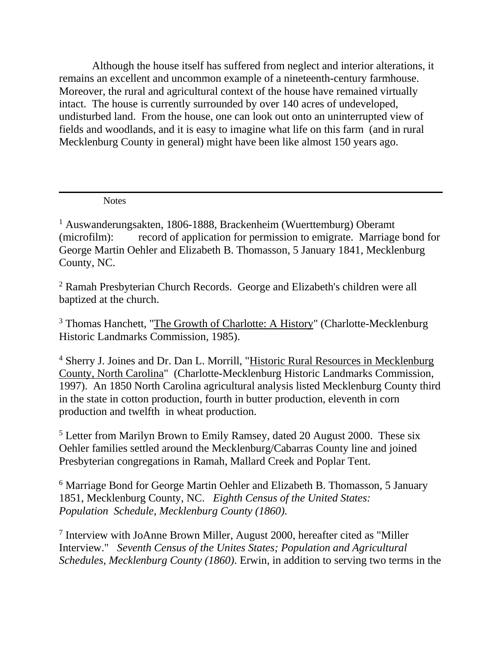Although the house itself has suffered from neglect and interior alterations, it remains an excellent and uncommon example of a nineteenth-century farmhouse. Moreover, the rural and agricultural context of the house have remained virtually intact. The house is currently surrounded by over 140 acres of undeveloped, undisturbed land. From the house, one can look out onto an uninterrupted view of fields and woodlands, and it is easy to imagine what life on this farm (and in rural Mecklenburg County in general) might have been like almost 150 years ago.

**Notes** 

<sup>1</sup> Auswanderungsakten, 1806-1888, Brackenheim (Wuerttemburg) Oberamt (microfilm): record of application for permission to emigrate. Marriage bond for George Martin Oehler and Elizabeth B. Thomasson, 5 January 1841, Mecklenburg County, NC.

<sup>2</sup> Ramah Presbyterian Church Records. George and Elizabeth's children were all baptized at the church.

<sup>3</sup> Thomas Hanchett, "The Growth of Charlotte: A History" (Charlotte-Mecklenburg Historic Landmarks Commission, 1985).

<sup>4</sup> Sherry J. Joines and Dr. Dan L. Morrill, "Historic Rural Resources in Mecklenburg County, North Carolina" (Charlotte-Mecklenburg Historic Landmarks Commission, 1997). An 1850 North Carolina agricultural analysis listed Mecklenburg County third in the state in cotton production, fourth in butter production, eleventh in corn production and twelfth in wheat production.

<sup>5</sup> Letter from Marilyn Brown to Emily Ramsey, dated 20 August 2000. These six Oehler families settled around the Mecklenburg/Cabarras County line and joined Presbyterian congregations in Ramah, Mallard Creek and Poplar Tent.

<sup>6</sup> Marriage Bond for George Martin Oehler and Elizabeth B. Thomasson, 5 January 1851, Mecklenburg County, NC. *Eighth Census of the United States: Population Schedule, Mecklenburg County (1860).*

<sup>7</sup> Interview with JoAnne Brown Miller, August 2000, hereafter cited as "Miller Interview." *Seventh Census of the Unites States; Population and Agricultural Schedules, Mecklenburg County (1860)*. Erwin, in addition to serving two terms in the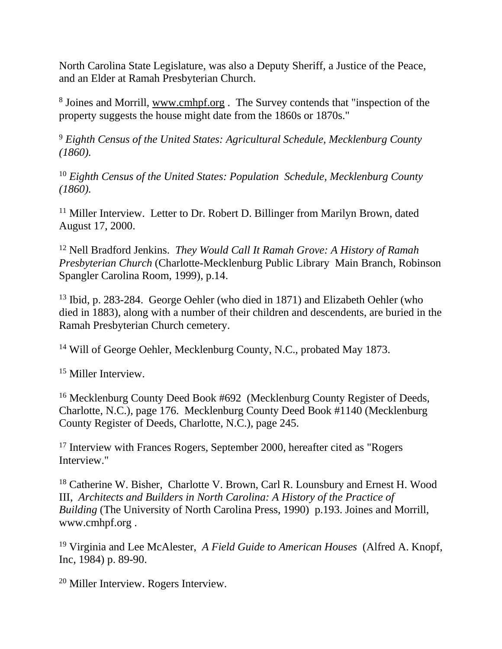North Carolina State Legislature, was also a Deputy Sheriff, a Justice of the Peace, and an Elder at Ramah Presbyterian Church.

<sup>8</sup> Joines and Morrill, www.cmhpf.org . The Survey contends that "inspection of the property suggests the house might date from the 1860s or 1870s."

<sup>9</sup> *Eighth Census of the United States: Agricultural Schedule, Mecklenburg County (1860).*

<sup>10</sup> *Eighth Census of the United States: Population Schedule, Mecklenburg County (1860).*

<sup>11</sup> Miller Interview. Letter to Dr. Robert D. Billinger from Marilyn Brown, dated August 17, 2000.

<sup>12</sup> Nell Bradford Jenkins. *They Would Call It Ramah Grove: A History of Ramah Presbyterian Church* (Charlotte-Mecklenburg Public Library Main Branch, Robinson Spangler Carolina Room, 1999), p.14.

<sup>13</sup> Ibid, p. 283-284. George Oehler (who died in 1871) and Elizabeth Oehler (who died in 1883), along with a number of their children and descendents, are buried in the Ramah Presbyterian Church cemetery.

<sup>14</sup> Will of George Oehler, Mecklenburg County, N.C., probated May 1873.

<sup>15</sup> Miller Interview.

<sup>16</sup> Mecklenburg County Deed Book #692 (Mecklenburg County Register of Deeds, Charlotte, N.C.), page 176. Mecklenburg County Deed Book #1140 (Mecklenburg County Register of Deeds, Charlotte, N.C.), page 245.

<sup>17</sup> Interview with Frances Rogers, September 2000, hereafter cited as "Rogers" Interview."

<sup>18</sup> Catherine W. Bisher, Charlotte V. Brown, Carl R. Lounsbury and Ernest H. Wood III, *Architects and Builders in North Carolina: A History of the Practice of Building* (The University of North Carolina Press, 1990) p.193. Joines and Morrill, www.cmhpf.org .

<sup>19</sup> Virginia and Lee McAlester, *A Field Guide to American Houses* (Alfred A. Knopf, Inc, 1984) p. 89-90.

<sup>20</sup> Miller Interview. Rogers Interview.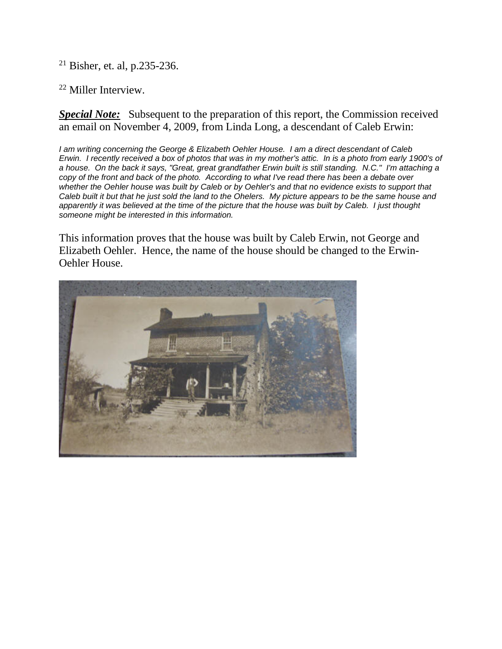<sup>21</sup> Bisher, et. al, p.235-236.

#### <sup>22</sup> Miller Interview.

**Special Note:** Subsequent to the preparation of this report, the Commission received an email on November 4, 2009, from Linda Long, a descendant of Caleb Erwin:

*I am writing concerning the George & Elizabeth Oehler House. I am a direct descendant of Caleb Erwin. I recently received a box of photos that was in my mother's attic. In is a photo from early 1900's of a house. On the back it says, "Great, great grandfather Erwin built is still standing. N.C." I'm attaching a copy of the front and back of the photo. According to what I've read there has been a debate over whether the Oehler house was built by Caleb or by Oehler's and that no evidence exists to support that Caleb built it but that he just sold the land to the Ohelers. My picture appears to be the same house and apparently it was believed at the time of the picture that the house was built by Caleb. I just thought someone might be interested in this information.*

This information proves that the house was built by Caleb Erwin, not George and Elizabeth Oehler. Hence, the name of the house should be changed to the Erwin-Oehler House.